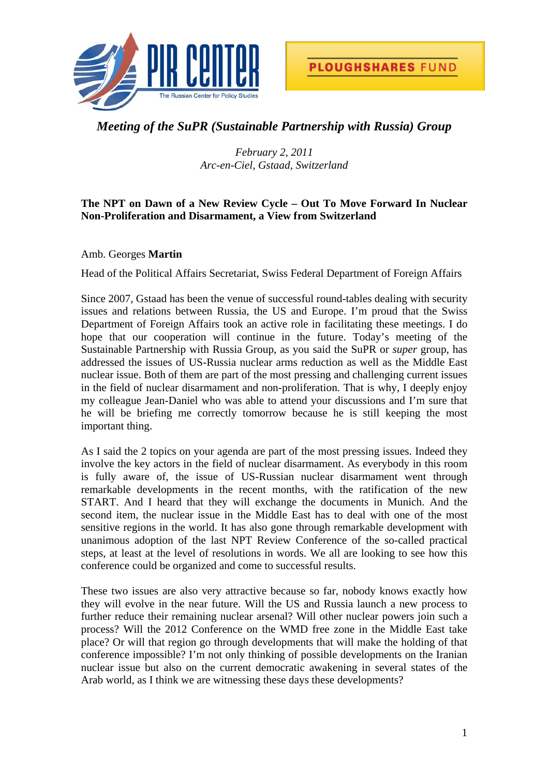



## *Meeting of the SuPR (Sustainable Partnership with Russia) Group*

*February 2, 2011 Arc-en-Ciel, Gstaad, Switzerland* 

## **The NPT on Dawn of a New Review Cycle – Out To Move Forward In Nuclear Non-Proliferation and Disarmament, a View from Switzerland**

Amb. Georges **Martin** 

Head of the Political Affairs Secretariat, Swiss Federal Department of Foreign Affairs

Since 2007, Gstaad has been the venue of successful round-tables dealing with security issues and relations between Russia, the US and Europe. I'm proud that the Swiss Department of Foreign Affairs took an active role in facilitating these meetings. I do hope that our cooperation will continue in the future. Today's meeting of the Sustainable Partnership with Russia Group, as you said the SuPR or *super* group, has addressed the issues of US-Russia nuclear arms reduction as well as the Middle East nuclear issue. Both of them are part of the most pressing and challenging current issues in the field of nuclear disarmament and non-proliferation. That is why, I deeply enjoy my colleague Jean-Daniel who was able to attend your discussions and I'm sure that he will be briefing me correctly tomorrow because he is still keeping the most important thing.

As I said the 2 topics on your agenda are part of the most pressing issues. Indeed they involve the key actors in the field of nuclear disarmament. As everybody in this room is fully aware of, the issue of US-Russian nuclear disarmament went through remarkable developments in the recent months, with the ratification of the new START. And I heard that they will exchange the documents in Munich. And the second item, the nuclear issue in the Middle East has to deal with one of the most sensitive regions in the world. It has also gone through remarkable development with unanimous adoption of the last NPT Review Conference of the so-called practical steps, at least at the level of resolutions in words. We all are looking to see how this conference could be organized and come to successful results.

These two issues are also very attractive because so far, nobody knows exactly how they will evolve in the near future. Will the US and Russia launch a new process to further reduce their remaining nuclear arsenal? Will other nuclear powers join such a process? Will the 2012 Conference on the WMD free zone in the Middle East take place? Or will that region go through developments that will make the holding of that conference impossible? I'm not only thinking of possible developments on the Iranian nuclear issue but also on the current democratic awakening in several states of the Arab world, as I think we are witnessing these days these developments?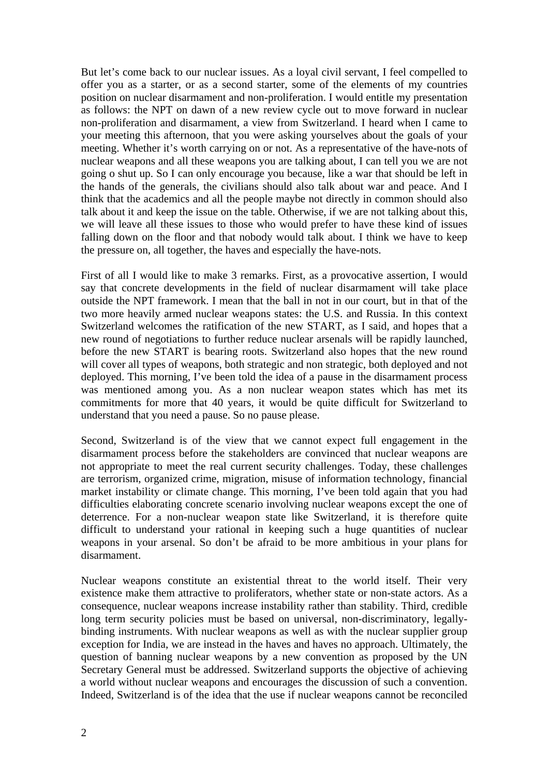But let's come back to our nuclear issues. As a loyal civil servant, I feel compelled to offer you as a starter, or as a second starter, some of the elements of my countries position on nuclear disarmament and non-proliferation. I would entitle my presentation as follows: the NPT on dawn of a new review cycle out to move forward in nuclear non-proliferation and disarmament, a view from Switzerland. I heard when I came to your meeting this afternoon, that you were asking yourselves about the goals of your meeting. Whether it's worth carrying on or not. As a representative of the have-nots of nuclear weapons and all these weapons you are talking about, I can tell you we are not going o shut up. So I can only encourage you because, like a war that should be left in the hands of the generals, the civilians should also talk about war and peace. And I think that the academics and all the people maybe not directly in common should also talk about it and keep the issue on the table. Otherwise, if we are not talking about this, we will leave all these issues to those who would prefer to have these kind of issues falling down on the floor and that nobody would talk about. I think we have to keep the pressure on, all together, the haves and especially the have-nots.

First of all I would like to make 3 remarks. First, as a provocative assertion, I would say that concrete developments in the field of nuclear disarmament will take place outside the NPT framework. I mean that the ball in not in our court, but in that of the two more heavily armed nuclear weapons states: the U.S. and Russia. In this context Switzerland welcomes the ratification of the new START, as I said, and hopes that a new round of negotiations to further reduce nuclear arsenals will be rapidly launched, before the new START is bearing roots. Switzerland also hopes that the new round will cover all types of weapons, both strategic and non strategic, both deployed and not deployed. This morning, I've been told the idea of a pause in the disarmament process was mentioned among you. As a non nuclear weapon states which has met its commitments for more that 40 years, it would be quite difficult for Switzerland to understand that you need a pause. So no pause please.

Second, Switzerland is of the view that we cannot expect full engagement in the disarmament process before the stakeholders are convinced that nuclear weapons are not appropriate to meet the real current security challenges. Today, these challenges are terrorism, organized crime, migration, misuse of information technology, financial market instability or climate change. This morning, I've been told again that you had difficulties elaborating concrete scenario involving nuclear weapons except the one of deterrence. For a non-nuclear weapon state like Switzerland, it is therefore quite difficult to understand your rational in keeping such a huge quantities of nuclear weapons in your arsenal. So don't be afraid to be more ambitious in your plans for disarmament.

Nuclear weapons constitute an existential threat to the world itself. Their very existence make them attractive to proliferators, whether state or non-state actors. As a consequence, nuclear weapons increase instability rather than stability. Third, credible long term security policies must be based on universal, non-discriminatory, legallybinding instruments. With nuclear weapons as well as with the nuclear supplier group exception for India, we are instead in the haves and haves no approach. Ultimately, the question of banning nuclear weapons by a new convention as proposed by the UN Secretary General must be addressed. Switzerland supports the objective of achieving a world without nuclear weapons and encourages the discussion of such a convention. Indeed, Switzerland is of the idea that the use if nuclear weapons cannot be reconciled